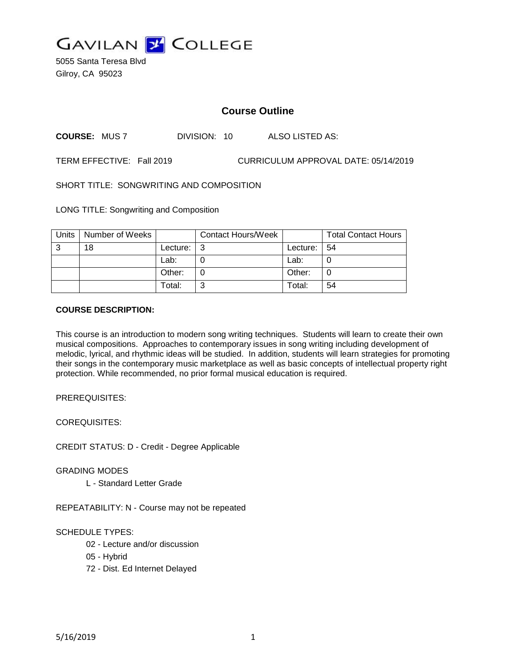

5055 Santa Teresa Blvd Gilroy, CA 95023

# **Course Outline**

**COURSE:** MUS 7 DIVISION: 10 ALSO LISTED AS:

TERM EFFECTIVE: Fall 2019 CURRICULUM APPROVAL DATE: 05/14/2019

SHORT TITLE: SONGWRITING AND COMPOSITION

LONG TITLE: Songwriting and Composition

| Units | Number of Weeks |          | <b>Contact Hours/Week</b> |          | <b>Total Contact Hours</b> |
|-------|-----------------|----------|---------------------------|----------|----------------------------|
| -3    | 18              | Lecture: | l 3                       | Lecture: | -54                        |
|       |                 | Lab:     |                           | Lab:     |                            |
|       |                 | Other:   |                           | Other:   |                            |
|       |                 | Total:   | ົ                         | Total:   | 54                         |

#### **COURSE DESCRIPTION:**

This course is an introduction to modern song writing techniques. Students will learn to create their own musical compositions. Approaches to contemporary issues in song writing including development of melodic, lyrical, and rhythmic ideas will be studied. In addition, students will learn strategies for promoting their songs in the contemporary music marketplace as well as basic concepts of intellectual property right protection. While recommended, no prior formal musical education is required.

PREREQUISITES:

COREQUISITES:

CREDIT STATUS: D - Credit - Degree Applicable

GRADING MODES

L - Standard Letter Grade

REPEATABILITY: N - Course may not be repeated

SCHEDULE TYPES:

02 - Lecture and/or discussion

- 05 Hybrid
- 72 Dist. Ed Internet Delayed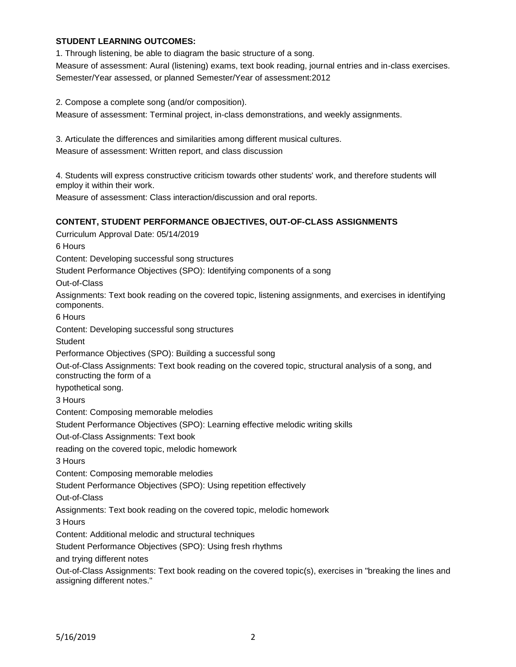### **STUDENT LEARNING OUTCOMES:**

1. Through listening, be able to diagram the basic structure of a song.

Measure of assessment: Aural (listening) exams, text book reading, journal entries and in-class exercises. Semester/Year assessed, or planned Semester/Year of assessment:2012

2. Compose a complete song (and/or composition).

Measure of assessment: Terminal project, in-class demonstrations, and weekly assignments.

3. Articulate the differences and similarities among different musical cultures. Measure of assessment: Written report, and class discussion

4. Students will express constructive criticism towards other students' work, and therefore students will employ it within their work.

Measure of assessment: Class interaction/discussion and oral reports.

#### **CONTENT, STUDENT PERFORMANCE OBJECTIVES, OUT-OF-CLASS ASSIGNMENTS**

Curriculum Approval Date: 05/14/2019 6 Hours Content: Developing successful song structures Student Performance Objectives (SPO): Identifying components of a song Out-of-Class Assignments: Text book reading on the covered topic, listening assignments, and exercises in identifying components. 6 Hours Content: Developing successful song structures **Student** Performance Objectives (SPO): Building a successful song Out-of-Class Assignments: Text book reading on the covered topic, structural analysis of a song, and constructing the form of a hypothetical song. 3 Hours Content: Composing memorable melodies Student Performance Objectives (SPO): Learning effective melodic writing skills Out-of-Class Assignments: Text book reading on the covered topic, melodic homework 3 Hours Content: Composing memorable melodies Student Performance Objectives (SPO): Using repetition effectively Out-of-Class Assignments: Text book reading on the covered topic, melodic homework 3 Hours Content: Additional melodic and structural techniques Student Performance Objectives (SPO): Using fresh rhythms and trying different notes Out-of-Class Assignments: Text book reading on the covered topic(s), exercises in "breaking the lines and assigning different notes."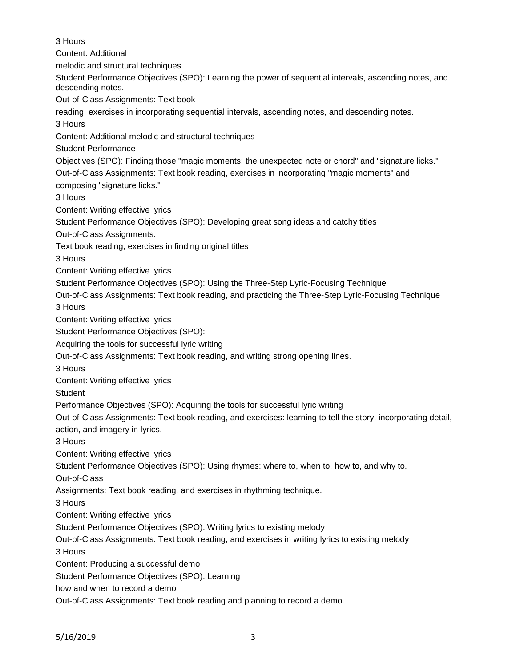3 Hours Content: Additional melodic and structural techniques Student Performance Objectives (SPO): Learning the power of sequential intervals, ascending notes, and descending notes. Out-of-Class Assignments: Text book reading, exercises in incorporating sequential intervals, ascending notes, and descending notes. 3 Hours Content: Additional melodic and structural techniques Student Performance Objectives (SPO): Finding those "magic moments: the unexpected note or chord" and "signature licks." Out-of-Class Assignments: Text book reading, exercises in incorporating "magic moments" and composing "signature licks." 3 Hours Content: Writing effective lyrics Student Performance Objectives (SPO): Developing great song ideas and catchy titles Out-of-Class Assignments: Text book reading, exercises in finding original titles 3 Hours Content: Writing effective lyrics Student Performance Objectives (SPO): Using the Three-Step Lyric-Focusing Technique Out-of-Class Assignments: Text book reading, and practicing the Three-Step Lyric-Focusing Technique 3 Hours Content: Writing effective lyrics Student Performance Objectives (SPO): Acquiring the tools for successful lyric writing Out-of-Class Assignments: Text book reading, and writing strong opening lines. 3 Hours Content: Writing effective lyrics **Student** Performance Objectives (SPO): Acquiring the tools for successful lyric writing Out-of-Class Assignments: Text book reading, and exercises: learning to tell the story, incorporating detail, action, and imagery in lyrics. 3 Hours Content: Writing effective lyrics Student Performance Objectives (SPO): Using rhymes: where to, when to, how to, and why to. Out-of-Class Assignments: Text book reading, and exercises in rhythming technique. 3 Hours Content: Writing effective lyrics Student Performance Objectives (SPO): Writing lyrics to existing melody Out-of-Class Assignments: Text book reading, and exercises in writing lyrics to existing melody 3 Hours Content: Producing a successful demo Student Performance Objectives (SPO): Learning how and when to record a demo Out-of-Class Assignments: Text book reading and planning to record a demo.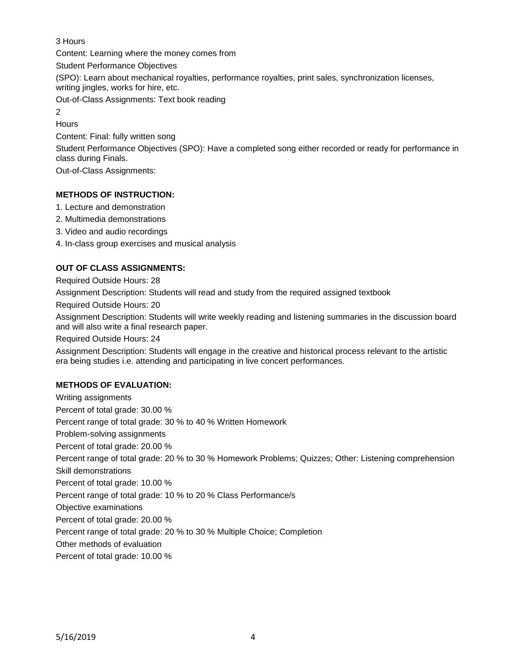### 3 Hours

Content: Learning where the money comes from

Student Performance Objectives

(SPO): Learn about mechanical royalties, performance royalties, print sales, synchronization licenses, writing jingles, works for hire, etc.

Out-of-Class Assignments: Text book reading

2 **Hours** 

Content: Final: fully written song

Student Performance Objectives (SPO): Have a completed song either recorded or ready for performance in class during Finals.

Out-of-Class Assignments:

## **METHODS OF INSTRUCTION:**

- 1. Lecture and demonstration
- 2. Multimedia demonstrations
- 3. Video and audio recordings
- 4. In-class group exercises and musical analysis

## **OUT OF CLASS ASSIGNMENTS:**

Required Outside Hours: 28

Assignment Description: Students will read and study from the required assigned textbook

Required Outside Hours: 20

Assignment Description: Students will write weekly reading and listening summaries in the discussion board and will also write a final research paper.

Required Outside Hours: 24

Assignment Description: Students will engage in the creative and historical process relevant to the artistic era being studies i.e. attending and participating in live concert performances.

## **METHODS OF EVALUATION:**

Writing assignments Percent of total grade: 30.00 % Percent range of total grade: 30 % to 40 % Written Homework Problem-solving assignments Percent of total grade: 20.00 % Percent range of total grade: 20 % to 30 % Homework Problems; Quizzes; Other: Listening comprehension Skill demonstrations Percent of total grade: 10.00 % Percent range of total grade: 10 % to 20 % Class Performance/s Objective examinations Percent of total grade: 20.00 % Percent range of total grade: 20 % to 30 % Multiple Choice; Completion Other methods of evaluation Percent of total grade: 10.00 %